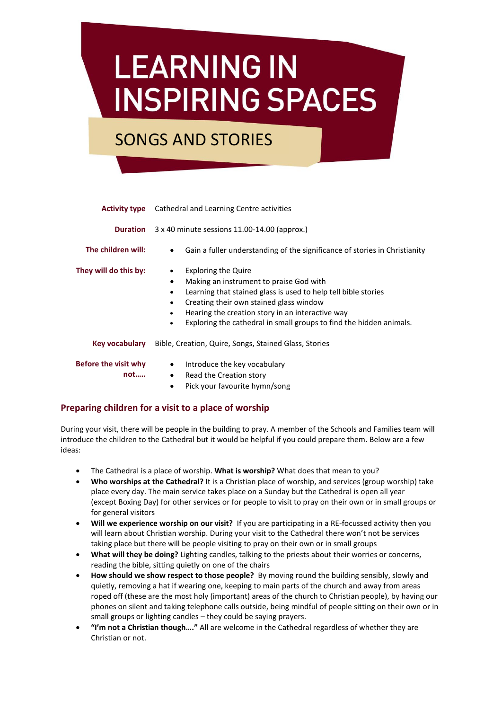## **LEARNING IN INSPIRING SPACES**

## SONGS AND STORIES

|                             | <b>Activity type</b> Cathedral and Learning Centre activities                                                                                                                                                                                                                                                                                                       |
|-----------------------------|---------------------------------------------------------------------------------------------------------------------------------------------------------------------------------------------------------------------------------------------------------------------------------------------------------------------------------------------------------------------|
| <b>Duration</b>             | 3 x 40 minute sessions 11.00-14.00 (approx.)                                                                                                                                                                                                                                                                                                                        |
| The children will:          | Gain a fuller understanding of the significance of stories in Christianity<br>٠                                                                                                                                                                                                                                                                                     |
| They will do this by:       | <b>Exploring the Quire</b><br>٠<br>Making an instrument to praise God with<br>٠<br>Learning that stained glass is used to help tell bible stories<br>$\bullet$<br>Creating their own stained glass window<br>$\bullet$<br>Hearing the creation story in an interactive way<br>٠<br>Exploring the cathedral in small groups to find the hidden animals.<br>$\bullet$ |
| Key vocabulary              | Bible, Creation, Quire, Songs, Stained Glass, Stories                                                                                                                                                                                                                                                                                                               |
| Before the visit why<br>not | Introduce the key vocabulary<br>$\bullet$<br>Read the Creation story<br>$\bullet$<br>Pick your favourite hymn/song<br>$\bullet$                                                                                                                                                                                                                                     |

## **Preparing children for a visit to a place of worship**

During your visit, there will be people in the building to pray. A member of the Schools and Families team will introduce the children to the Cathedral but it would be helpful if you could prepare them. Below are a few ideas:

- The Cathedral is a place of worship. **What is worship?** What does that mean to you?
- **Who worships at the Cathedral?** It is a Christian place of worship, and services (group worship) take place every day. The main service takes place on a Sunday but the Cathedral is open all year (except Boxing Day) for other services or for people to visit to pray on their own or in small groups or for general visitors
- **Will we experience worship on our visit?** If you are participating in a RE-focussed activity then you will learn about Christian worship. During your visit to the Cathedral there won't not be services taking place but there will be people visiting to pray on their own or in small groups
- **What will they be doing?** Lighting candles, talking to the priests about their worries or concerns, reading the bible, sitting quietly on one of the chairs
- **How should we show respect to those people?** By moving round the building sensibly, slowly and quietly, removing a hat if wearing one, keeping to main parts of the church and away from areas roped off (these are the most holy (important) areas of the church to Christian people), by having our phones on silent and taking telephone calls outside, being mindful of people sitting on their own or in small groups or lighting candles – they could be saying prayers.
- **"I'm not a Christian though…."** All are welcome in the Cathedral regardless of whether they are Christian or not.